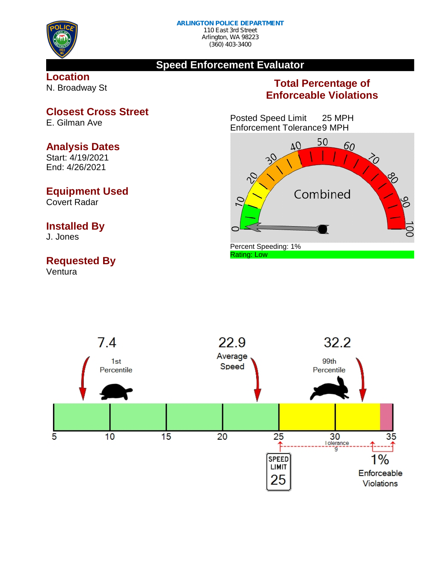

# **Speed Enforcement Evaluator**

**Location** N. Broadway St

# **Total Percentage of Enforceable Violations**

Posted Speed Limit 25 MPH Enforcement Tolerance9 MPH





**Closest Cross Street** E. Gilman Ave

**Analysis Dates**

Start: 4/19/2021 End: 4/26/2021

## **Equipment Used**

Covert Radar

### **Installed By**

J. Jones

# **Requested By**

Ventura